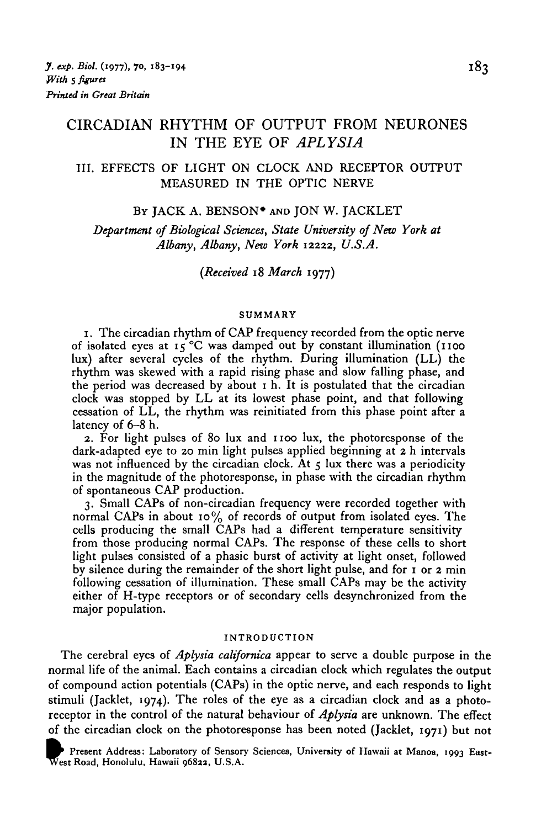# CIRCADIAN RHYTHM OF OUTPUT FROM NEURONES IN THE EYE OF *APLYSIA*

III. EFFECTS OF LIGHT ON CLOCK AND RECEPTOR OUTPUT MEASURED IN THE OPTIC NERVE

#### BY JACK A. BENSON<sup>\*</sup> AND JON W. JACKLET

*Department of Biological Sciences, State University of New York at Albany, Albany, New York* 12222, *U.S.A.*

*(Received* 18 *March* 1977)

#### SUMMARY

1. The circadian rhythm of CAP frequency recorded from the optic nerve of isolated eyes at  $15^{\circ}$ C was damped out by constant illumination (1100 lux) after several cycles of the rhythm. During illumination (LL) the rhythm was skewed with a rapid rising phase and slow falling phase, and the period was decreased by about 1 h. It is postulated that the circadian clock was stopped by LL at its lowest phase point, and that following cessation of LL, the rhythm was reinitiated from this phase point after a latency of 6-8 h.

2. For light pulses of 80 lux and 1100 lux, the photoresponse of the dark-adapted eye to 20 min light pulses applied beginning at 2 h intervals was not influenced by the circadian clock. At  $5 \text{ lux}$  there was a periodicity in the magnitude of the photoresponse, in phase with the circadian rhythm of spontaneous CAP production.

3. Small CAPs of non-circadian frequency were recorded together with normal CAPs in about 10% of records of output from isolated eyes. The cells producing the small CAPs had a different temperature sensitivity from those producing normal CAPs. The response of these cells to short light pulses consisted of a phasic burst of activity at light onset, followed by silence during the remainder of the short light pulse, and for 1 or 2 min following cessation of illumination. These small CAPs may be the activity either of H-type receptors or of secondary cells desynchronized from the major population.

#### INTRODUCTION

The cerebral eyes of *Aplysia californica* appear to serve a double purpose in the normal life of the animal. Each contains a circadian clock which regulates the output of compound action potentials (CAPs) in the optic nerve, and each responds to light stimuli (Jacklet, 1974). The roles of the eye as a circadian clock and as a photoreceptor in the control of the natural behaviour of *Aplysia* are unknown. The effect

of the circadian clock on the photoresponse has been noted (Jacklet, 1971) but not<br>*Tresent Address: Laboratory of Sensory Sciences*, University of Hawaii at Manoa, 1993 East-<br>West Road, Honolulu, Hawaii 96822, U.S.A. Present Address: Laboratory of Sensory Sciences, University of Hawaii at Manoa, 1993 East-<br>West Road, Honolulu, Hawaii 96822, U.S.A.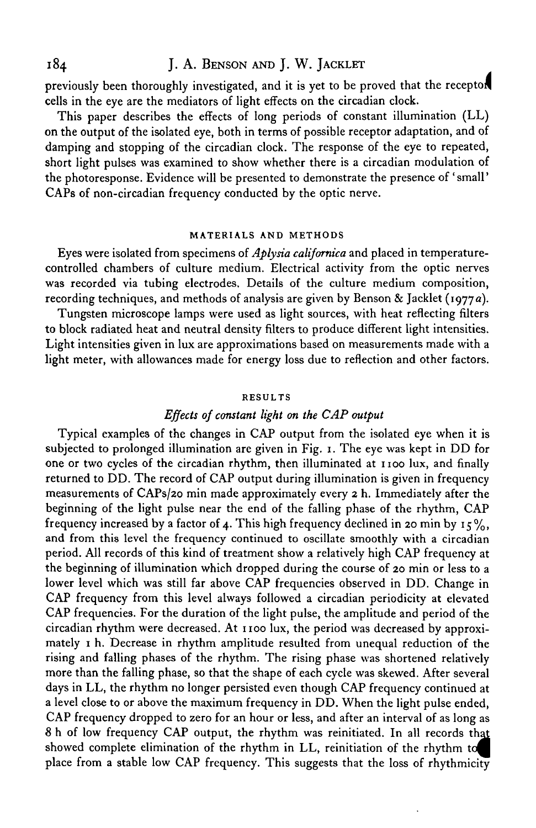184 J. A. BENSON AND J. W. JACKLET

previously been thoroughly investigated, and it is yet to be proved that the receptor cells in the eye are the mediators of light effects on the circadian clock.

This paper describes the effects of long periods of constant illumination (LL) on the output of the isolated eye, both in terms of possible receptor adaptation, and of damping and stopping of the circadian clock. The response of the eye to repeated, short light pulses was examined to show whether there is a circadian modulation of the photoresponse. Evidence will be presented to demonstrate the presence of ' small' CAPs of non-circadian frequency conducted by the optic nerve.

#### **MATERIALS AND METHODS**

Eyes were isolated from specimens of *Aplysia californica* and placed in temperaturecontrolled chambers of culture medium. Electrical activity from the optic nerves was recorded via tubing electrodes. Details of the culture medium composition, recording techniques, and methods of analysis are given by Benson & Jacklet (1977a).

Tungsten microscope lamps were used as light sources, with heat reflecting filters to block radiated heat and neutral density niters to produce different light intensities. Light intensities given in lux are approximations based on measurements made with a light meter, with allowances made for energy loss due to reflection and other factors.

#### **RESULTS**

### *Effects of constant light on the CAP output*

Typical examples of the changes in CAP output from the isolated eye when it is subjected to prolonged illumination are given in Fig. 1. The eye was kept in DD for one or two cycles of the circadian rhythm, then illuminated at 1100 lux, and finally returned to DD. The record of CAP output during illumination is given in frequency measurements of CAPs/20 min made approximately every 2 h. Immediately after the beginning of the light pulse near the end of the falling phase of the rhythm, CAP frequency increased by a factor of 4. This high frequency declined in 20 min by  $15\%,$ and from this level the frequency continued to oscillate smoothly with a circadian period. All records of this kind of treatment show a relatively high CAP frequency at the beginning of illumination which dropped during the course of 20 min or less to a lower level which was still far above CAP frequencies observed in DD. Change in CAP frequency from this level always followed a circadian periodicity at elevated CAP frequencies. For the duration of the light pulse, the amplitude and period of the circadian rhythm were decreased. At 1100 lux, the period was decreased by approximately 1 h. Decrease in rhythm amplitude resulted from unequal reduction of the rising and falling phases of the rhythm. The rising phase was shortened relatively more than the falling phase, so that the shape of each cycle was skewed. After several days in LL, the rhythm no longer persisted even though CAP frequency continued at a level close to or above the maximum frequency in DD. When the light pulse ended, CAP frequency dropped to zero for an hour or less, and after an interval of as long as 8 h of low frequency CAP output, the rhythm was reinitiated. In all records that showed complete elimination of the rhythm in LL, reinitiation of the rhythm to place from a stable low CAP frequency. This suggests that the loss of rhythmicity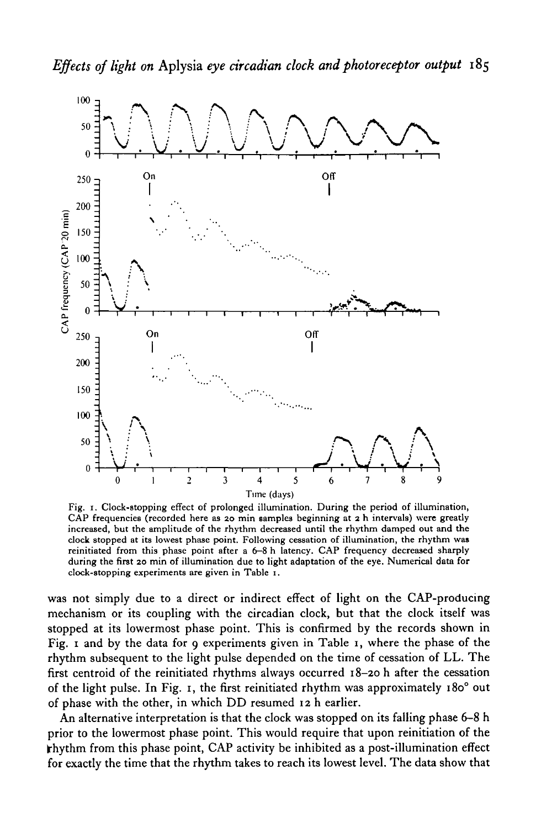

Fig. 1. Clock-stopping effect of prolonged illumination. During the period of illumination, CAP frequencies (recorded here as 20 min samples beginning at 2 h intervals) were greatly increased, but the amplitude of the rhythm decreased until the rhythm damped out and the clock stopped at its lowest phase point. Following cessation of illumination, the rhythm was reinitiated from this phase point after a 6-8 h latency. CAP frequency decreased sharply during the first 20 min of illumination due to light adaptation of the eye. Numerical data for clock-stopping experiments are given in Table 1.

was not simply due to a direct or indirect effect of light on the CAP-producing mechanism or its coupling with the circadian clock, but that the clock itself was stopped at its lowermost phase point. This is confirmed by the records shown in Fig. 1 and by the data for 9 experiments given in Table 1, where the phase of the rhythm subsequent to the light pulse depended on the time of cessation of LL. The first centroid of the reinitiated rhythms always occurred 18-20 h after the cessation of the light pulse. In Fig. 1, the first reinitiated rhythm was approximately 180° out of phase with the other, in which DD resumed 12 h earlier.

An alternative interpretation is that the clock was stopped on its falling phase 6-8 h prior to the lowermost phase point. This would require that upon reinitiation of the  $\mathbf{F}$ hythm from this phase point, CAP activity be inhibited as a post-illumination effect for exactly the time that the rhythm takes to reach its lowest level. The data show that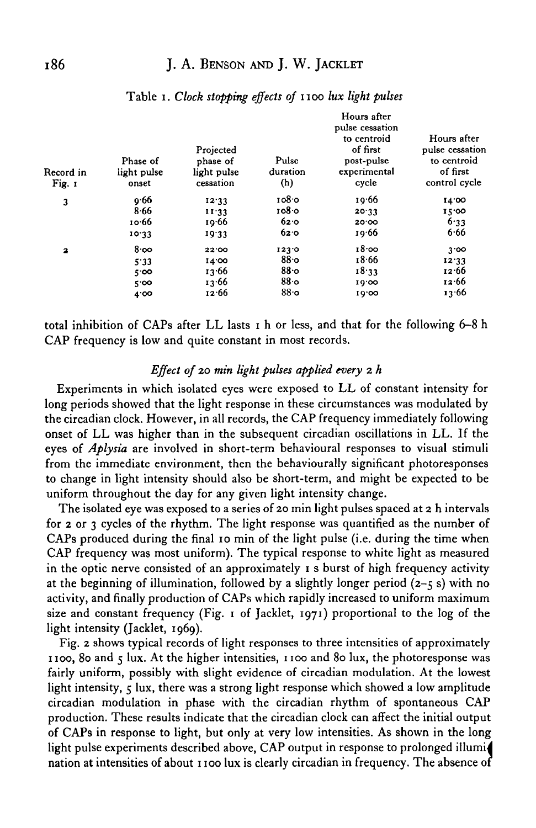| Record in<br>Fig. 1     | Phase of<br>light pulse<br>onset | Projected<br>phase of<br>light pulse<br>cessation | Pulse<br>duration<br>(h) | Hours after<br>pulse cessation<br>to centroid<br>of first<br>post-pulse<br>experimental<br>cycle | Hours after<br>pulse cessation<br>to centroid<br>of first<br>control cycle |
|-------------------------|----------------------------------|---------------------------------------------------|--------------------------|--------------------------------------------------------------------------------------------------|----------------------------------------------------------------------------|
| 3                       | 0.66                             | 12.33                                             | 1080                     | 19.66                                                                                            | 14.00                                                                      |
|                         | 8.66                             | 11.33                                             | 1080                     | 20.33                                                                                            | 15:00                                                                      |
|                         | 10.66                            | 19.66                                             | 62.0                     | 20.00                                                                                            | 6.33                                                                       |
|                         | 10.33                            | 19.33                                             | 62.0                     | 19.66                                                                                            | 6.66                                                                       |
| $\overline{\mathbf{a}}$ | 8.00                             | 22'00                                             | 123.0                    | 18.00                                                                                            | 3.00                                                                       |
|                         | 5.33                             | 14.00                                             | 88.0                     | 18.66                                                                                            | 12.33                                                                      |
|                         | $5^{\circ}$ 00                   | 13.66                                             | $88$ o                   | 18.33                                                                                            | 12.66                                                                      |
|                         | 5'00                             | 13.66                                             | 880                      | 10.00                                                                                            | 12.66                                                                      |
|                         | 4'00                             | 12.66                                             | 880                      | 10.00                                                                                            | 13.66                                                                      |

### Table 1. Clock stopping effects of 1100 lux light pulses

total inhibition of CAPs after LL lasts 1 h or less, and that for the following 6-8 h CAP frequency is low and quite constant in most records.

### *Effect of* 20 *min light pulses applied every* 2 *h*

Experiments in which isolated eyes were exposed to LL of constant intensity for long periods showed that the light response in these circumstances was modulated by the circadian clock. However, in all records, the CAP frequency immediately following onset of LL was higher than in the subsequent circadian oscillations in LL. If the eyes of *Aplysia* are involved in short-term behavioural responses to visual stimuli from the immediate environment, then the behaviourally significant photoresponses to change in light intensity should also be short-term, and might be expected to be uniform throughout the day for any given light intensity change.

The isolated eye was exposed to a series of 20 min light pulses spaced at 2 h intervals for 2 or 3 cycles of the rhythm. The light response was quantified as the number of CAPs produced during the final 10 min of the light pulse (i.e. during the time when CAP frequency was most uniform). The typical response to white light as measured in the optic nerve consisted of an approximately 1 s burst of high frequency activity at the beginning of illumination, followed by a slightly longer period  $(2-5s)$  with no activity, and finally production of CAPs which rapidly increased to uniform maximum size and constant frequency (Fig. 1 of Jacklet, 1971) proportional to the log of the light intensity (Jacklet, 1969).

Fig. 2 shows typical records of light responses to three intensities of approximately 1100, 80 and 5 lux. At the higher intensities, 1100 and 80 lux, the photoresponse was fairly uniform, possibly with slight evidence of circadian modulation. At the lowest light intensity, 5 lux, there was a strong light response which showed a low amplitude circadian modulation in phase with the circadian rhythm of spontaneous CAP production. These results indicate that the circadian clock can affect the initial output of CAPs in response to light, but only at very low intensities. As shown in the long light pulse experiments described above, CAP output in response to prolonged illumi nation at intensities of about 1100 lux is clearly circadian in frequency. The absence of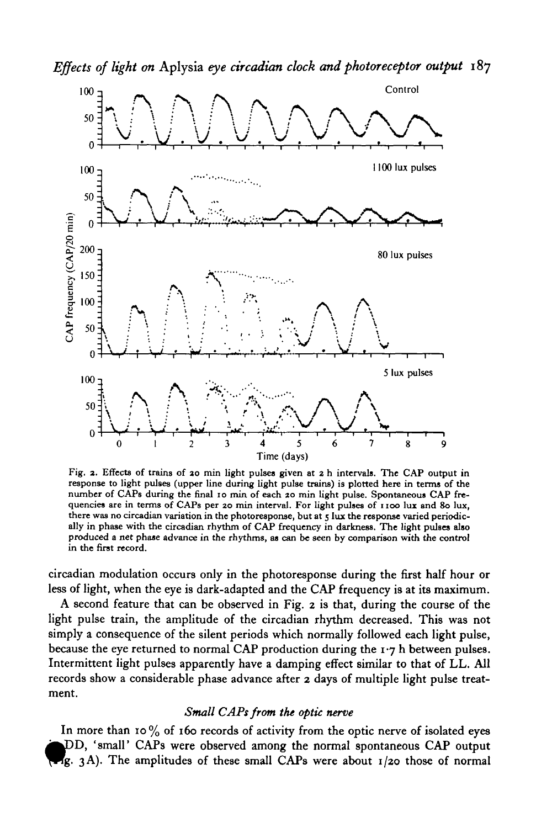

Fig. 2. Effects of trains of 20 min light pulses given at 2 h intervals. The CAP output in response to light pulses (upper line during light pulse trains) is plotted here in terms of the number of CAPs during the final 10 **in the first record.**

circadian modulation occurs only in the photoresponse during the first half hour or less of light, when the eye is dark-adapted and the CAP frequency is at its maximum.

A second feature that can be observed in Fig. *2* is that, during the course of the light pulse train, the amplitude of the circadian rhythm decreased. This was not simply a consequence of the silent periods which normally followed each light pulse, because the eye returned to normal CAP production during the  $1.7$  h between pulses. Intermittent light pulses apparently have a damping effect similar to that of LL. All records show a considerable phase advance after *2* days of multiple light pulse treatment.

#### *Small CAPs from the optic nerve*

In more than 10  $\%$  of 160 records of activity from the optic nerve of isolated eyes )D, 'small' CAPs were observed among the normal spontaneous CAP output Ig. 3A). The amplitudes of these small CAPs were about  $1/20$  those of normal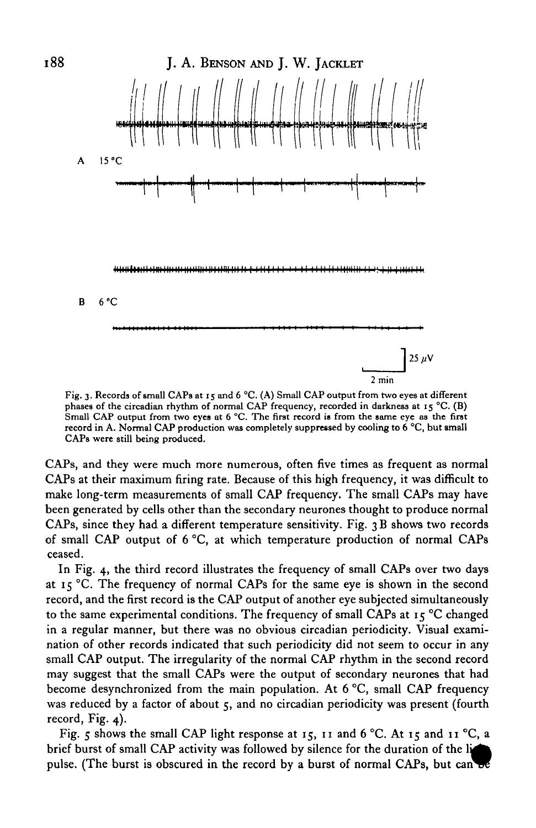

Fig. 3. Records of small CAPs at 15 and 6 °C. (A) Small CAP output from two eyes at different phases of the circadian rhythm of normal CAP frequency, recorded in darkness at 15 °C. (B) Small CAP output from two eyes at 6 °C. The first record is from the same eye as the first record in A. Normal CAP production was completely suppressed by cooling to 6 °C, but small CAPs were still being produced.

CAPs, and they were much more numerous, often five times as frequent as normal CAP9 at their maximum firing rate. Because of this high frequency, it was difficult to make long-term measurements of small CAP frequency. The small CAPs may have been generated by cells other than the secondary neurones thought to produce normal CAPs, since they had a different temperature sensitivity. Fig. 3 B shows two records of small CAP output of 6 °C, at which temperature production of normal CAPs ceased.

In Fig. 4, the third record illustrates the frequency of small CAPs over two days at 15 °C. The frequency of normal CAPs for the same eye is shown in the second record, and the first record is the CAP output of another eye subjected simultaneously to the same experimental conditions. The frequency of small CAPs at  $15^{\circ}$ C changed in a regular manner, but there was no obvious circadian periodicity. Visual examination of other records indicated that such periodicity did not seem to occur in any small CAP output. The irregularity of the normal CAP rhythm in the second record may suggest that the small CAPs were the output of secondary neurones that had become desynchronized from the main population. At 6 °C, small CAP frequency was reduced by a factor of about 5, and no circadian periodicity was present (fourth record, Fig. 4).

Fig. 5 shows the small CAP light response at 15, 11 and 6 °C. At 15 and 11 °C, a brief burst of small CAP activity was followed by silence for the duration of the li pulse. (The burst is obscured in the record by a burst of normal CAPs, but can be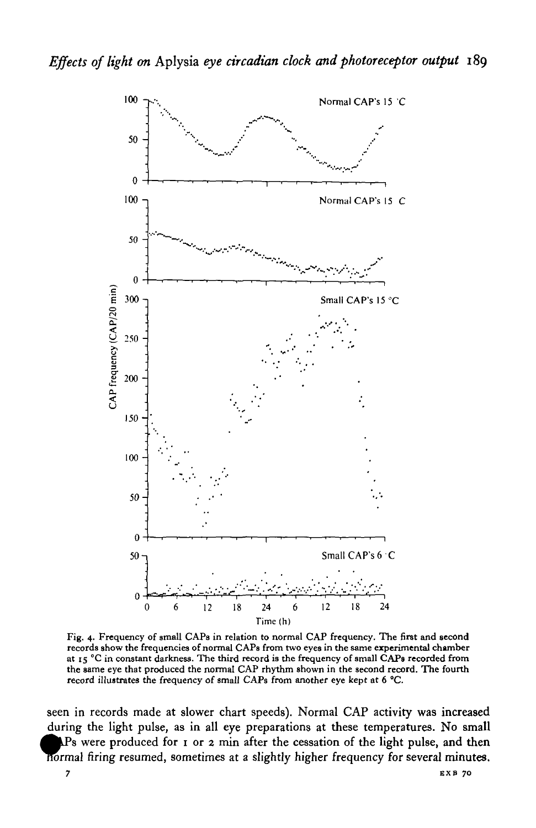

Fig. 4. Frequency of small CAPs in relation to normal CAP frequency. The first and second records show the frequencies of normal CAPs from two eyes in the same experimental chamber at  $r_5$  °C in constant darkness. The third record is the frequency of small CAPs recorded from<br>the same eye that produced the normal CAP rhythm shown in the second record. The fourth<br>record illustrates the frequency of s

seen in records made at slower chart speeds). Normal CAP activity was increased during the light pulse, as in all eye preparations at these temperatures. No small  $\Delta P$ s were produced for 1 or 2 min after the cessation of the light pulse, and then normal firing resumed, sometimes at a slightly higher frequency for several minutes.  $\overline{7}$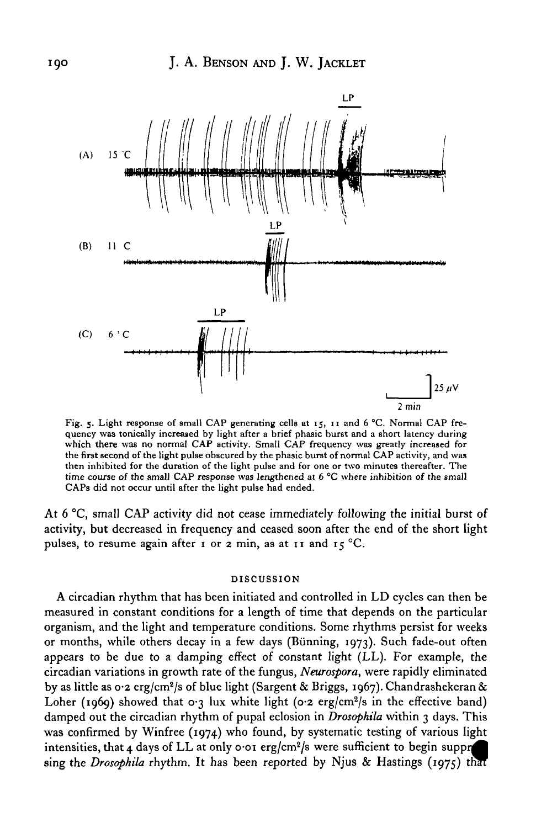

Fig. 5. Light response of small CAP generating cells at 15, 11 and 6 °C. Normal CAP frequency was tonically increased by light after a brief phasic burst and a short latency during which there was no normal CAP activity. Small CAP frequency was greatly increased for<br>the first second of the light pulse obscured by the phasic burst of normal CAP activity, and was<br>then inhibited for the duration of the CAPs did not occur until after the light pulse had ended.

At 6 °C, small CAP activity did not cease immediately following the initial burst of activity, but decreased in frequency and ceased soon after the end of the short light pulses, to resume again after 1 or 2 min, as at 11 and  $15^{\circ}$ C.

#### DISCUSSION

A circadian rhythm that has been initiated and controlled in LD cycles can then be measured in constant conditions for a length of time that depends on the particular organism, and the light and temperature conditions. Some rhythms persist for weeks or months, while others decay in a few days (Bunning, 1973). Such fade-out often appears to be due to a damping effect of constant light (LL). For example, the circadian variations in growth rate of the fungus, *Neurospora,* were rapidly eliminated by as little as 0.2 erg/cm<sup>2</sup>/s of blue light (Sargent & Briggs, 1967). Chandrashekeran & Loher (1969) showed that  $0.3$  lux white light ( $0.2$  erg/cm<sup>2</sup>/s in the effective band) damped out the circadian rhythm of pupal eclosion in *Drosophila* within 3 days. This was confirmed by Winfree (1974) who found, by systematic testing of various light intensities, that  $\mu$  days of LL at only o or erg/cm<sup>2</sup>/s were sufficient to begin suppression sing the *Drosophila* rhythm. It has been reported by Njus & Hastings (1975) that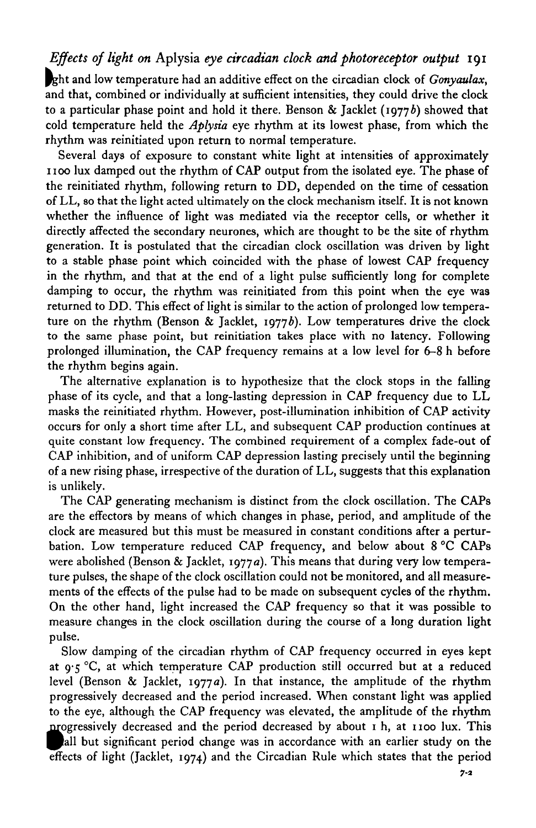## *Effects of light on* Aplysia *eye circadian clock and photoreceptor output* 191

Pght and low temperature had an additive effect on the circadian clock of *Gonyaulax,* and that, combined or individually at sufficient intensities, they could drive the clock to a particular phase point and hold it there. Benson & Jacklet (1977b) showed that cold temperature held the *Aplysia* eye rhythm at its lowest phase, from which the rhythm was reinitiated upon return to normal temperature.

Several days of exposure to constant white light at intensities of approximately 1100 lux damped out the rhythm of CAP output from the isolated eye. The phase of the reinitiated rhythm, following return to DD, depended on the time of cessation of LL, so that the light acted ultimately on the clock mechanism itself. It is not known whether the influence of light was mediated via the receptor cells, or whether it directly affected the secondary neurones, which are thought to be the site of rhythm generation. It is postulated that the circadian clock oscillation was driven by light to a stable phase point which coincided with the phase of lowest CAP frequency in the rhythm, and that at the end of a light pulse sufficiently long for complete damping to occur, the rhythm was reinitiated from this point when the eye was returned to DD. This effect of light is similar to the action of prolonged low temperature on the rhythm (Benson & Jacklet, 1977b). Low temperatures drive the clock to the same phase point, but reinitiation takes place with no latency. Following prolonged illumination, the CAP frequency remains at a low level for 6-8 h before the rhythm begins again.

The alternative explanation is to hypothesize that the clock stops in the falling phase of its cycle, and that a long-lasting depression in CAP frequency due to LL masks the reinitiated rhythm. However, post-illumination inhibition of CAP activity occurs for only a short time after LL, and subsequent CAP production continues at quite constant low frequency. The combined requirement of a complex fade-out of CAP inhibition, and of uniform CAP depression lasting precisely until the beginning of a new rising phase, irrespective of the duration of LL, suggests that this explanation is unlikely.

The CAP generating mechanism is distinct from the clock oscillation. The CAPs are the effectors by means of which changes in phase, period, and amplitude of the clock are measured but this must be measured in constant conditions after a perturbation. Low temperature reduced CAP frequency, and below about 8 °C CAPs were abolished (Benson & Jacklet, 1977a). This means that during very low temperature pulses, the shape of the clock oscillation could not be monitored, and all measurements of the effects of the pulse had to be made on subsequent cycles of the rhythm. On the other hand, light increased the CAP frequency so that it was possible to measure changes in the clock oscillation during the course of a long duration light pulse.

Slow damping of the circadian rhythm of CAP frequency occurred in eyes kept at  $9.5^{\circ}$ C, at which temperature CAP production still occurred but at a reduced level (Benson & Jacklet, 1977*a*). In that instance, the amplitude of the rhythm progressively decreased and the period increased. When constant light was applied to the eye, although the CAP frequency was elevated, the amplitude of the rhythm progressively decreased and the period decreased by about 1 h, at 1100 lux. This ^Pall but significant period change was in accordance with an earlier study on the effects of light (Jacklet, 1974) and the Circadian Rule which states that the period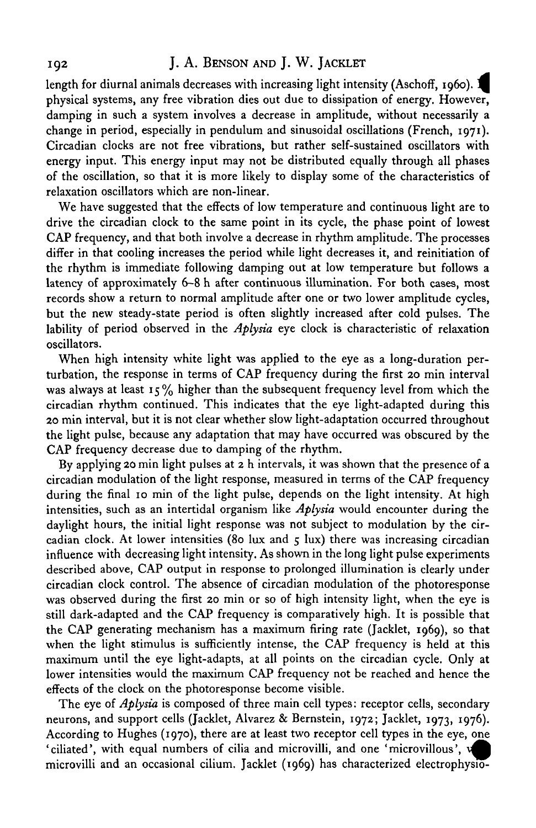### 192 J. A. BENSON AND J. W. JACKLET

length for diurnal animals decreases with increasing light intensity (Aschoff, 1060).  $\blacksquare$ physical systems, any free vibration dies out due to dissipation of energy. However, damping in such a system involves a decrease in amplitude, without necessarily a change in period, especially in pendulum and sinusoidal oscillations (French, 1971). Circadian clocks are not free vibrations, but rather self-sustained oscillators with energy input. This energy input may not be distributed equally through all phases of the oscillation, so that it is more likely to display some of the characteristics of relaxation oscillators which are non-linear.

We have suggested that the effects of low temperature and continuous light are to drive the circadian clock to the same point in its cycle, the phase point of lowest CAP frequency, and that both involve a decrease in rhythm amplitude. The processes differ in that cooling increases the period while light decreases it, and reinitiation of the rhythm is immediate following damping out at low temperature but follows a latency of approximately 6-8 h after continuous illumination. For both cases, most records show a return to normal amplitude after one or two lower amplitude cycles, but the new steady-state period is often slightly increased after cold pulses. The lability of period observed in the *Aplysia* eye clock is characteristic of relaxation oscillators.

When high intensity white light was applied to the eye as a long-duration perturbation, the response in terms of CAP frequency during the first 20 min interval was always at least  $15\%$  higher than the subsequent frequency level from which the circadian rhythm continued. This indicates that the eye light-adapted during this 20 min interval, but it is not clear whether slow light-adaptation occurred throughout the light pulse, because any adaptation that may have occurred was obscured by the CAP frequency decrease due to damping of the rhythm.

By applying 20 min light pulses at 2 h intervals, it was shown that the presence of a circadian modulation of the light response, measured in terms of the CAP frequency during the final 10 min of the light pulse, depends on the light intensity. At high intensities, such as an intertidal organism like *Aplysia* would encounter during the daylight hours, the initial light response was not subject to modulation by the circadian clock. At lower intensities (80 lux and  $\zeta$  lux) there was increasing circadian influence with decreasing light intensity. As shown in the long light pulse experiments described above, CAP output in response to prolonged illumination is clearly under circadian clock control. The absence of circadian modulation of the photoresponse was observed during the first 20 min or so of high intensity light, when the eye is still dark-adapted and the CAP frequency is comparatively high. It is possible that the CAP generating mechanism has a maximum firing rate (Jacklet, 1969), so that when the light stimulus is sufficiently intense, the CAP frequency is held at this maximum until the eye light-adapts, at all points on the circadian cycle. Only at lower intensities would the maximum CAP frequency not be reached and hence the effects of the clock on the photoresponse become visible.

The eye of *Aplysia* is composed of three main cell types: receptor cells, secondary neurons, and support cells (Jacklet, Alvarez & Bernstein, 1972; Jacklet, 1973, 1976). According to Hughes (1970), there are at least two receptor cell types in the eye, one 'ciliated', with equal numbers of cilia and microvilli, and one 'microvillous', \^B microvilli and an occasional cilium. Jacklet (1969) has characterized electrophysio-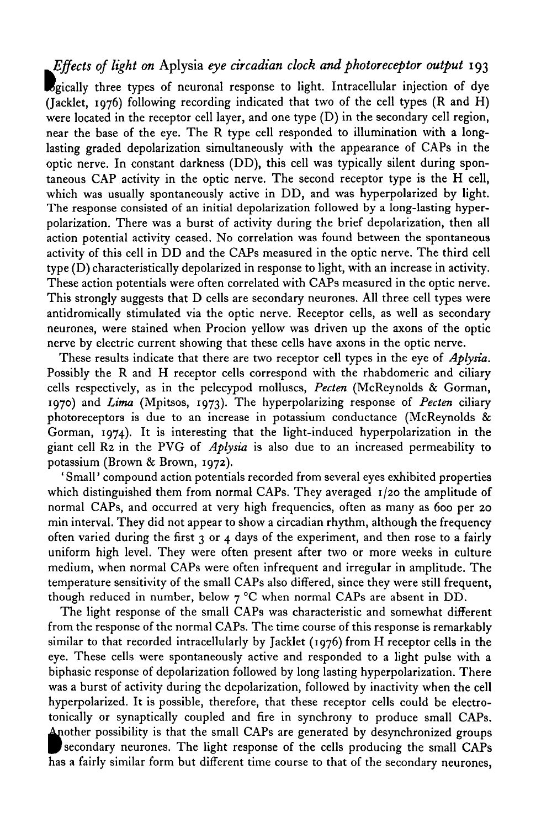# *Effects of light on* Aplysia *eye arcadian clock and photoreceptor output* 193

Bgically three types of neuronal response to light. Intracellular injection of dye (Jacklet, 1976) following recording indicated that two of the cell types (R and H) were located in the receptor cell layer, and one type (D) in the secondary cell region, near the base of the eye. The R type cell responded to illumination with a longlasting graded depolarization simultaneously with the appearance of CAPs in the optic nerve. In constant darkness (DD), this cell was typically silent during spontaneous CAP activity in the optic nerve. The second receptor type is the H cell, which was usually spontaneously active in DD, and was hyperpolarized by light. The response consisted of an initial depolarization followed by a long-lasting hyperpolarization. There was a burst of activity during the brief depolarization, then all action potential activity ceased. No correlation was found between the spontaneous activity of this cell in DD and the CAPs measured in the optic nerve. The third cell type (D) characteristically depolarized in response to light, with an increase in activity. These action potentials were often correlated with CAPs measured in the optic nerve. This strongly suggests that D cells are secondary neurones. All three cell types were antidromically stimulated via the optic nerve. Receptor cells, as well as secondary neurones, were stained when Procion yellow was driven up the axons of the optic nerve by electric current showing that these cells have axons in the optic nerve.

These results indicate that there are two receptor cell types in the eye of *Aplysia.* Possibly the R and H receptor cells correspond with the rhabdomeric and ciliary cells respectively, as in the pelecypod molluscs, *Pecten* (McReynolds & Gorman, 1970) and *Lima* (Mpitsos, 1973). The hyperpolarizing response of *Pecten* ciliary photoreceptors is due to an increase in potassium conductance (McReynolds & Gorman, 1974). It is interesting that the light-induced hyperpolarization in the giant cell R2 in the PVG of *Aplysia* is also due to an increased permeability to potassium (Brown & Brown, 1972).

' Small' compound action potentials recorded from several eyes exhibited properties which distinguished them from normal CAPs. They averaged 1/20 the amplitude of normal CAPs, and occurred at very high frequencies, often as many as 600 per 20 min interval. They did not appear to show a circadian rhythm, although the frequency often varied during the first  $3$  or  $4$  days of the experiment, and then rose to a fairly uniform high level. They were often present after two or more weeks in culture medium, when normal CAPs were often infrequent and irregular in amplitude. The temperature sensitivity of the small CAPs also differed, since they were still frequent, though reduced in number, below  $7^{\circ}$ C when normal CAPs are absent in DD.

The light response of the small CAPs was characteristic and somewhat different from the response of the normal CAPs. The time course of this response is remarkably similar to that recorded intracellularly by Jacklet (1976) from H receptor cells in the eye. These cells were spontaneously active and responded to a light pulse with a biphasic response of depolarization followed by long lasting hyperpolarization. There was a burst of activity during the depolarization, followed by inactivity when the cell hyperpolarized. It is possible, therefore, that these receptor cells could be electrotonically or synaptically coupled and fire in synchrony to produce small CAPs. Another possibility is that the small CAPs are generated by desynchronized groups secondary neurones. The light response of the cells producing the small CAPs has a fairly similar form but different time course to that of the secondary neurones,